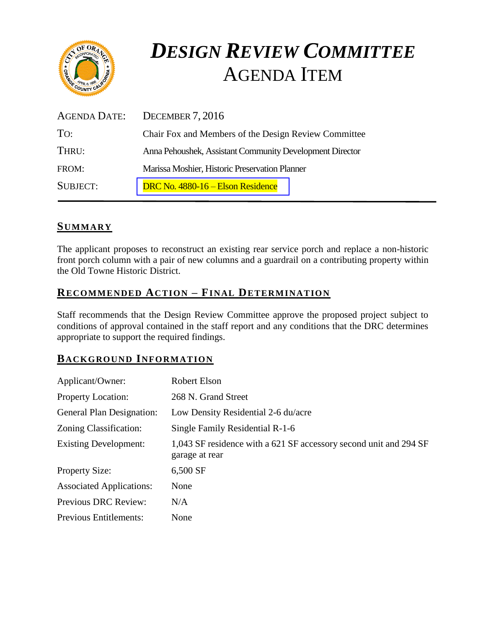

# *DESIGN REVIEW COMMITTEE*  AGENDA ITEM

| AGENDA DATE:    | DECEMBER 7, 2016                                         |
|-----------------|----------------------------------------------------------|
| TO:             | Chair Fox and Members of the Design Review Committee     |
| THRU:           | Anna Pehoushek, Assistant Community Development Director |
| FROM:           | Marissa Moshier, Historic Preservation Planner           |
| <b>SUBJECT:</b> | DRC No. 4880-16 – Elson Residence                        |

# **SUMMARY**

The applicant proposes to reconstruct an existing rear service porch and replace a non-historic front porch column with a pair of new columns and a guardrail on a contributing property within the Old Towne Historic District.

#### **RECOMMENDED ACTION – FINAL DETERMINATION**

Staff recommends that the Design Review Committee approve the proposed project subject to conditions of approval contained in the staff report and any conditions that the DRC determines appropriate to support the required findings.

# **BACKGROUND INFORMATION**

| Applicant/Owner:                 | <b>Robert Elson</b>                                                                 |
|----------------------------------|-------------------------------------------------------------------------------------|
| <b>Property Location:</b>        | 268 N. Grand Street                                                                 |
| <b>General Plan Designation:</b> | Low Density Residential 2-6 du/acre                                                 |
| Zoning Classification:           | Single Family Residential R-1-6                                                     |
| <b>Existing Development:</b>     | 1,043 SF residence with a 621 SF accessory second unit and 294 SF<br>garage at rear |
| <b>Property Size:</b>            | 6,500 SF                                                                            |
| <b>Associated Applications:</b>  | None                                                                                |
| Previous DRC Review:             | N/A                                                                                 |
| <b>Previous Entitlements:</b>    | None                                                                                |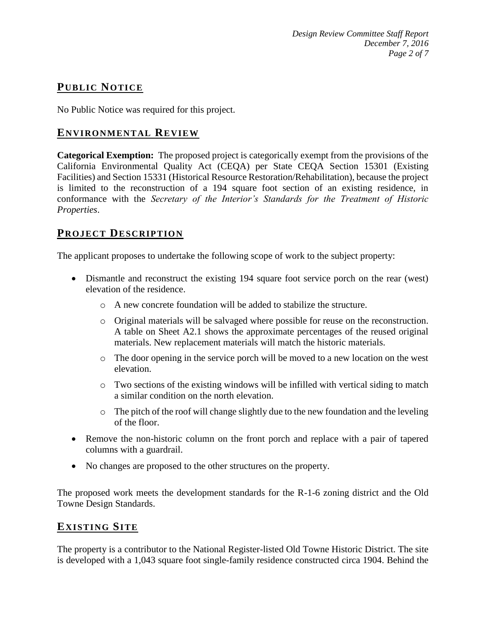# **PUB LIC NOTICE**

No Public Notice was required for this project.

#### **ENVIRONMENTAL REVIEW**

**Categorical Exemption:** The proposed project is categorically exempt from the provisions of the California Environmental Quality Act (CEQA) per State CEQA Section 15301 (Existing Facilities) and Section 15331 (Historical Resource Restoration/Rehabilitation), because the project is limited to the reconstruction of a 194 square foot section of an existing residence, in conformance with the *Secretary of the Interior's Standards for the Treatment of Historic Properties*.

#### **PROJECT DESCRIP TION**

The applicant proposes to undertake the following scope of work to the subject property:

- Dismantle and reconstruct the existing 194 square foot service porch on the rear (west) elevation of the residence.
	- o A new concrete foundation will be added to stabilize the structure.
	- o Original materials will be salvaged where possible for reuse on the reconstruction. A table on Sheet A2.1 shows the approximate percentages of the reused original materials. New replacement materials will match the historic materials.
	- o The door opening in the service porch will be moved to a new location on the west elevation.
	- $\circ$  Two sections of the existing windows will be infilled with vertical siding to match a similar condition on the north elevation.
	- $\circ$  The pitch of the roof will change slightly due to the new foundation and the leveling of the floor.
- Remove the non-historic column on the front porch and replace with a pair of tapered columns with a guardrail.
- No changes are proposed to the other structures on the property.

The proposed work meets the development standards for the R-1-6 zoning district and the Old Towne Design Standards.

#### **EXISTING SITE**

The property is a contributor to the National Register-listed Old Towne Historic District. The site is developed with a 1,043 square foot single-family residence constructed circa 1904. Behind the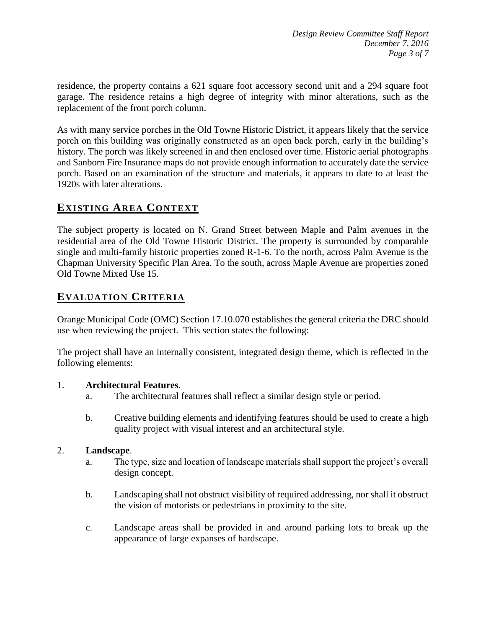residence, the property contains a 621 square foot accessory second unit and a 294 square foot garage. The residence retains a high degree of integrity with minor alterations, such as the replacement of the front porch column.

As with many service porches in the Old Towne Historic District, it appears likely that the service porch on this building was originally constructed as an open back porch, early in the building's history. The porch was likely screened in and then enclosed over time. Historic aerial photographs and Sanborn Fire Insurance maps do not provide enough information to accurately date the service porch. Based on an examination of the structure and materials, it appears to date to at least the 1920s with later alterations.

# **EXISTING AREA CONTEXT**

The subject property is located on N. Grand Street between Maple and Palm avenues in the residential area of the Old Towne Historic District. The property is surrounded by comparable single and multi-family historic properties zoned R-1-6. To the north, across Palm Avenue is the Chapman University Specific Plan Area. To the south, across Maple Avenue are properties zoned Old Towne Mixed Use 15.

# **EVALUATION CRITERIA**

Orange Municipal Code (OMC) Section 17.10.070 establishes the general criteria the DRC should use when reviewing the project. This section states the following:

The project shall have an internally consistent, integrated design theme, which is reflected in the following elements:

#### 1. **Architectural Features**.

- a. The architectural features shall reflect a similar design style or period.
- b. Creative building elements and identifying features should be used to create a high quality project with visual interest and an architectural style.

#### 2. **Landscape**.

- a. The type, size and location of landscape materials shall support the project's overall design concept.
- b. Landscaping shall not obstruct visibility of required addressing, nor shall it obstruct the vision of motorists or pedestrians in proximity to the site.
- c. Landscape areas shall be provided in and around parking lots to break up the appearance of large expanses of hardscape.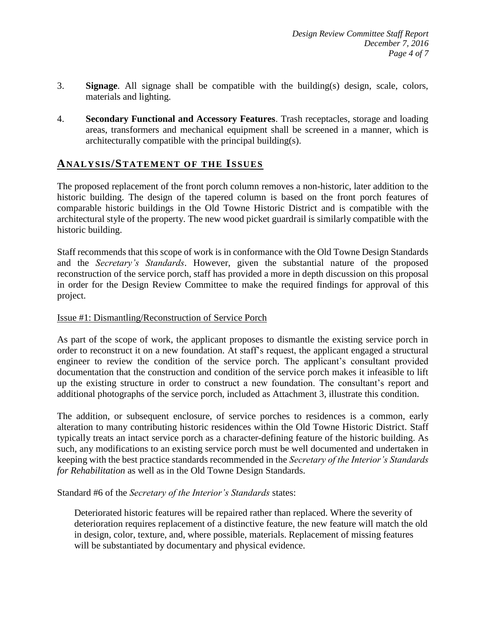- 3. **Signage**. All signage shall be compatible with the building(s) design, scale, colors, materials and lighting.
- 4. **Secondary Functional and Accessory Features**. Trash receptacles, storage and loading areas, transformers and mechanical equipment shall be screened in a manner, which is architecturally compatible with the principal building(s).

#### **ANALY SIS/STATEMENT OF THE ISSUES**

The proposed replacement of the front porch column removes a non-historic, later addition to the historic building. The design of the tapered column is based on the front porch features of comparable historic buildings in the Old Towne Historic District and is compatible with the architectural style of the property. The new wood picket guardrail is similarly compatible with the historic building.

Staff recommends that this scope of work is in conformance with the Old Towne Design Standards and the *Secretary's Standards*. However, given the substantial nature of the proposed reconstruction of the service porch, staff has provided a more in depth discussion on this proposal in order for the Design Review Committee to make the required findings for approval of this project.

#### Issue #1: Dismantling/Reconstruction of Service Porch

As part of the scope of work, the applicant proposes to dismantle the existing service porch in order to reconstruct it on a new foundation. At staff's request, the applicant engaged a structural engineer to review the condition of the service porch. The applicant's consultant provided documentation that the construction and condition of the service porch makes it infeasible to lift up the existing structure in order to construct a new foundation. The consultant's report and additional photographs of the service porch, included as Attachment 3, illustrate this condition.

The addition, or subsequent enclosure, of service porches to residences is a common, early alteration to many contributing historic residences within the Old Towne Historic District. Staff typically treats an intact service porch as a character-defining feature of the historic building. As such, any modifications to an existing service porch must be well documented and undertaken in keeping with the best practice standards recommended in the *Secretary of the Interior's Standards for Rehabilitation* as well as in the Old Towne Design Standards.

Standard #6 of the *Secretary of the Interior's Standards* states:

Deteriorated historic features will be repaired rather than replaced. Where the severity of deterioration requires replacement of a distinctive feature, the new feature will match the old in design, color, texture, and, where possible, materials. Replacement of missing features will be substantiated by documentary and physical evidence.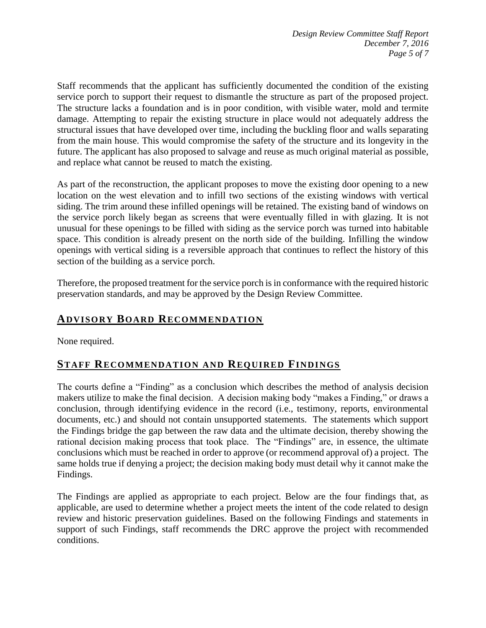Staff recommends that the applicant has sufficiently documented the condition of the existing service porch to support their request to dismantle the structure as part of the proposed project. The structure lacks a foundation and is in poor condition, with visible water, mold and termite damage. Attempting to repair the existing structure in place would not adequately address the structural issues that have developed over time, including the buckling floor and walls separating from the main house. This would compromise the safety of the structure and its longevity in the future. The applicant has also proposed to salvage and reuse as much original material as possible, and replace what cannot be reused to match the existing.

As part of the reconstruction, the applicant proposes to move the existing door opening to a new location on the west elevation and to infill two sections of the existing windows with vertical siding. The trim around these infilled openings will be retained. The existing band of windows on the service porch likely began as screens that were eventually filled in with glazing. It is not unusual for these openings to be filled with siding as the service porch was turned into habitable space. This condition is already present on the north side of the building. Infilling the window openings with vertical siding is a reversible approach that continues to reflect the history of this section of the building as a service porch.

Therefore, the proposed treatment for the service porch is in conformance with the required historic preservation standards, and may be approved by the Design Review Committee.

# **ADVISORY BOARD RECOMMENDATION**

None required.

# **STAFF RECOMMENDATION AND REQUIRED FINDINGS**

The courts define a "Finding" as a conclusion which describes the method of analysis decision makers utilize to make the final decision. A decision making body "makes a Finding," or draws a conclusion, through identifying evidence in the record (i.e., testimony, reports, environmental documents, etc.) and should not contain unsupported statements. The statements which support the Findings bridge the gap between the raw data and the ultimate decision, thereby showing the rational decision making process that took place. The "Findings" are, in essence, the ultimate conclusions which must be reached in order to approve (or recommend approval of) a project. The same holds true if denying a project; the decision making body must detail why it cannot make the Findings.

The Findings are applied as appropriate to each project. Below are the four findings that, as applicable, are used to determine whether a project meets the intent of the code related to design review and historic preservation guidelines. Based on the following Findings and statements in support of such Findings, staff recommends the DRC approve the project with recommended conditions.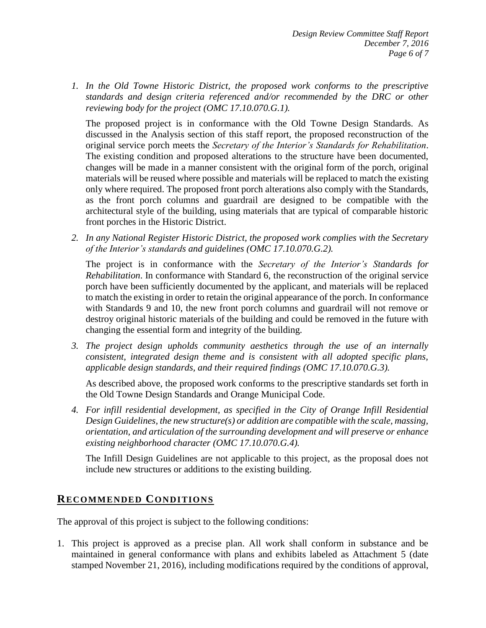*1. In the Old Towne Historic District, the proposed work conforms to the prescriptive standards and design criteria referenced and/or recommended by the DRC or other reviewing body for the project (OMC 17.10.070.G.1).*

The proposed project is in conformance with the Old Towne Design Standards. As discussed in the Analysis section of this staff report, the proposed reconstruction of the original service porch meets the *Secretary of the Interior's Standards for Rehabilitation*. The existing condition and proposed alterations to the structure have been documented, changes will be made in a manner consistent with the original form of the porch, original materials will be reused where possible and materials will be replaced to match the existing only where required. The proposed front porch alterations also comply with the Standards, as the front porch columns and guardrail are designed to be compatible with the architectural style of the building, using materials that are typical of comparable historic front porches in the Historic District.

*2. In any National Register Historic District, the proposed work complies with the Secretary of the Interior's standards and guidelines (OMC 17.10.070.G.2).*

The project is in conformance with the *Secretary of the Interior's Standards for Rehabilitation*. In conformance with Standard 6, the reconstruction of the original service porch have been sufficiently documented by the applicant, and materials will be replaced to match the existing in order to retain the original appearance of the porch. In conformance with Standards 9 and 10, the new front porch columns and guardrail will not remove or destroy original historic materials of the building and could be removed in the future with changing the essential form and integrity of the building.

*3. The project design upholds community aesthetics through the use of an internally consistent, integrated design theme and is consistent with all adopted specific plans, applicable design standards, and their required findings (OMC 17.10.070.G.3).*

As described above, the proposed work conforms to the prescriptive standards set forth in the Old Towne Design Standards and Orange Municipal Code.

*4. For infill residential development, as specified in the City of Orange Infill Residential Design Guidelines, the new structure(s) or addition are compatible with the scale, massing, orientation, and articulation of the surrounding development and will preserve or enhance existing neighborhood character (OMC 17.10.070.G.4).*

The Infill Design Guidelines are not applicable to this project, as the proposal does not include new structures or additions to the existing building.

# **RECOMMENDED CONDITIONS**

The approval of this project is subject to the following conditions:

1. This project is approved as a precise plan. All work shall conform in substance and be maintained in general conformance with plans and exhibits labeled as Attachment 5 (date stamped November 21, 2016), including modifications required by the conditions of approval,